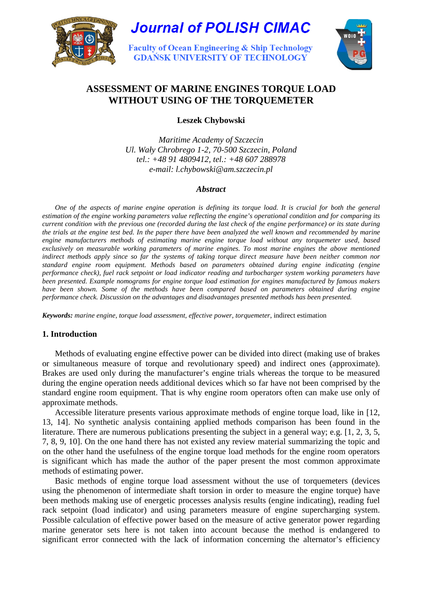



**Faculty of Ocean Engineering & Ship Technology GDAŃSK UNIVERSITY OF TECHNOLOGY** 



# **ASSESSMENT OF MARINE ENGINES TORQUE LOAD WITHOUT USING OF THE TORQUEMETER**

**Leszek Chybowski** 

*Maritime Academy of Szczecin Ul. Wały Chrobrego 1-2, 70-500 Szczecin, Poland tel.: +48 91 4809412, tel.: +48 607 288978 e-mail: l.chybowski@am.szczecin.pl* 

## *Abstract*

*One of the aspects of marine engine operation is defining its torque load. It is crucial for both the general estimation of the engine working parameters value reflecting the engine's operational condition and for comparing its current condition with the previous one (recorded during the last check of the engine performance) or its state during the trials at the engine test bed. In the paper there have been analyzed the well known and recommended by marine engine manufacturers methods of estimating marine engine torque load without any torquemeter used, based exclusively on measurable working parameters of marine engines. To most marine engines the above mentioned indirect methods apply since so far the systems of taking torque direct measure have been neither common nor standard engine room equipment. Methods based on parameters obtained during engine indicating (engine performance check), fuel rack setpoint or load indicator reading and turbocharger system working parameters have been presented. Example nomograms for engine torque load estimation for engines manufactured by famous makers*  have been shown. Some of the methods have been compared based on parameters obtained during engine *performance check. Discussion on the advantages and disadvantages presented methods has been presented.* 

*Keywords: marine engine, torque load assessment, effective power, torquemeter*, indirect estimation

# **1. Introduction**

Methods of evaluating engine effective power can be divided into direct (making use of brakes or simultaneous measure of torque and revolutionary speed) and indirect ones (approximate). Brakes are used only during the manufacturer's engine trials whereas the torque to be measured during the engine operation needs additional devices which so far have not been comprised by the standard engine room equipment. That is why engine room operators often can make use only of approximate methods.

Accessible literature presents various approximate methods of engine torque load, like in [12, 13, 14]. No synthetic analysis containing applied methods comparison has been found in the literature. There are numerous publications presenting the subject in a general way; e.g. [1, 2, 3, 5, 7, 8, 9, 10]. On the one hand there has not existed any review material summarizing the topic and on the other hand the usefulness of the engine torque load methods for the engine room operators is significant which has made the author of the paper present the most common approximate methods of estimating power.

Basic methods of engine torque load assessment without the use of torquemeters (devices using the phenomenon of intermediate shaft torsion in order to measure the engine torque) have been methods making use of energetic processes analysis results (engine indicating), reading fuel rack setpoint (load indicator) and using parameters measure of engine supercharging system. Possible calculation of effective power based on the measure of active generator power regarding marine generator sets here is not taken into account because the method is endangered to significant error connected with the lack of information concerning the alternator's efficiency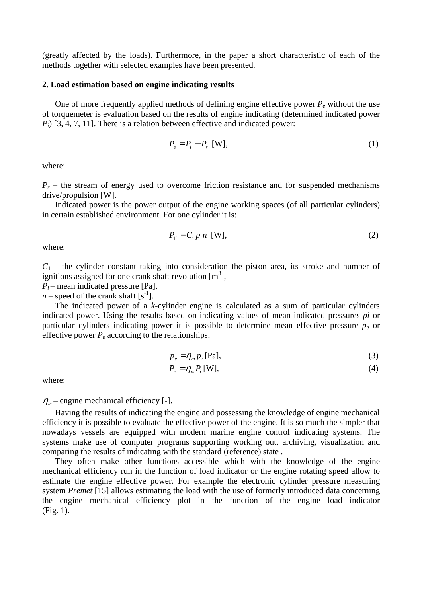(greatly affected by the loads). Furthermore, in the paper a short characteristic of each of the methods together with selected examples have been presented.

### **2. Load estimation based on engine indicating results**

One of more frequently applied methods of defining engine effective power  $P_e$  without the use of torquemeter is evaluation based on the results of engine indicating (determined indicated power *Pi*) [3, 4, 7, 11]. There is a relation between effective and indicated power:

$$
P_e = P_i - P_r \quad \text{[W]},\tag{1}
$$

where:

 $P_r$  – the stream of energy used to overcome friction resistance and for suspended mechanisms drive/propulsion [W].

Indicated power is the power output of the engine working spaces (of all particular cylinders) in certain established environment. For one cylinder it is:

$$
P_{1i} = C_1 p_i n \quad \text{[W]},\tag{2}
$$

where:

 $C_1$  – the cylinder constant taking into consideration the piston area, its stroke and number of ignitions assigned for one crank shaft revolution [m<sup>3</sup>],

 $P_i$  – mean indicated pressure [Pa],

 $n$  – speed of the crank shaft  $[s^{-1}]$ .

The indicated power of a *k*-cylinder engine is calculated as a sum of particular cylinders indicated power. Using the results based on indicating values of mean indicated pressures *pi* or particular cylinders indicating power it is possible to determine mean effective pressure *pe* or effective power  $P_e$  according to the relationships:

$$
p_e = \eta_m p_i \text{[Pa]},\tag{3}
$$

$$
P_e = \eta_m P_i \text{[W]},\tag{4}
$$

where:

 $\eta_m$  – engine mechanical efficiency [-].

 Having the results of indicating the engine and possessing the knowledge of engine mechanical efficiency it is possible to evaluate the effective power of the engine. It is so much the simpler that nowadays vessels are equipped with modern marine engine control indicating systems. The systems make use of computer programs supporting working out, archiving, visualization and comparing the results of indicating with the standard (reference) state .

 They often make other functions accessible which with the knowledge of the engine mechanical efficiency run in the function of load indicator or the engine rotating speed allow to estimate the engine effective power. For example the electronic cylinder pressure measuring system *Premet* [15] allows estimating the load with the use of formerly introduced data concerning the engine mechanical efficiency plot in the function of the engine load indicator (Fig. 1).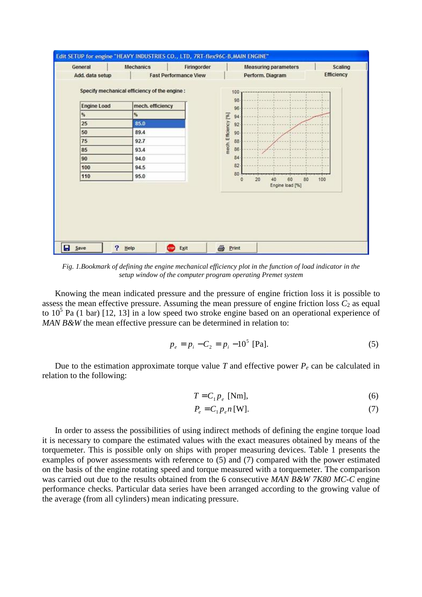| General            | <b>Mechanics</b><br>Firingorder                                  | <b>Measuring parameters</b>                  | Scaling           |
|--------------------|------------------------------------------------------------------|----------------------------------------------|-------------------|
| Add. data setup    | <b>Fast Performance View</b>                                     | Perform. Diagram                             | <b>Efficiency</b> |
| <b>Engine Load</b> | Specify mechanical efficiency of the engine:<br>mech. efficiency | 100<br>98                                    |                   |
| $\frac{9}{2}$      | 骺                                                                | 96                                           |                   |
| 25                 | 85.0                                                             | 94<br>92                                     |                   |
| 50                 | 89.4                                                             | 90                                           |                   |
| 75                 | 92.7                                                             | 88                                           |                   |
| 85                 | 93.4                                                             | mech. Efficiency [%]<br>86                   |                   |
| 90                 | 94.0                                                             | 84                                           |                   |
| 100                | 94.5                                                             | 82                                           |                   |
| 110                | 95.0                                                             | 80<br>20 <sub>2</sub><br>80<br>60<br>40<br>O | 100               |
|                    |                                                                  | Engine load [%]                              |                   |
|                    |                                                                  |                                              |                   |
|                    |                                                                  |                                              |                   |
|                    |                                                                  |                                              |                   |
|                    |                                                                  |                                              |                   |

*Fig. 1.Bookmark of defining the engine mechanical efficiency plot in the function of load indicator in the setup window of the computer program operating Premet system* 

Knowing the mean indicated pressure and the pressure of engine friction loss it is possible to assess the mean effective pressure. Assuming the mean pressure of engine friction loss  $C_2$  as equal to  $10<sup>5</sup>$  Pa (1 bar) [12, 13] in a low speed two stroke engine based on an operational experience of *MAN B&W* the mean effective pressure can be determined in relation to:

$$
p_e = p_i - C_2 = p_i - 10^5
$$
 [Pa]. (5)

Due to the estimation approximate torque value  $T$  and effective power  $P_e$  can be calculated in relation to the following:

$$
T = C_1 p_e \text{ [Nm]},\tag{6}
$$

$$
P_e = C_1 p_e n \text{ [W]}.
$$
\n<sup>(7)</sup>

In order to assess the possibilities of using indirect methods of defining the engine torque load it is necessary to compare the estimated values with the exact measures obtained by means of the torquemeter. This is possible only on ships with proper measuring devices. Table 1 presents the examples of power assessments with reference to (5) and (7) compared with the power estimated on the basis of the engine rotating speed and torque measured with a torquemeter. The comparison was carried out due to the results obtained from the 6 consecutive *MAN B&W 7K80 MC-C* engine performance checks. Particular data series have been arranged according to the growing value of the average (from all cylinders) mean indicating pressure.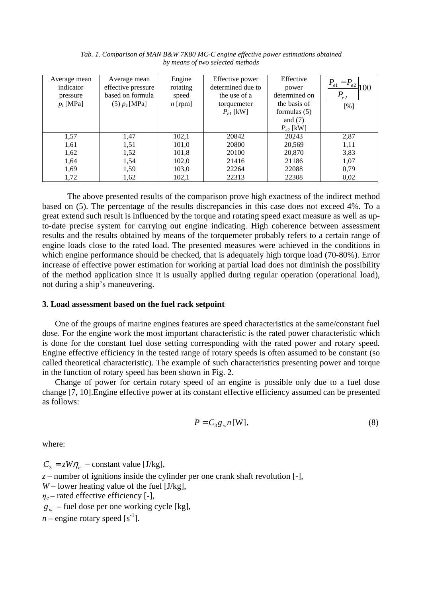| Average mean | Average mean       | Engine    | Effective power   | Effective      | $P_{e1}$         |
|--------------|--------------------|-----------|-------------------|----------------|------------------|
| indicator    | effective pressure | rotating  | determined due to | power          | $-P_{e2}$<br>100 |
| pressure     | based on formula   | speed     | the use of a      | determined on  | $P_{e2}$         |
| $p_i$ [MPa]  | $(5) p_e$ [MPa]    | $n$ [rpm] | torquemeter       | the basis of   | [%]              |
|              |                    |           | $P_{e1}$ [kW]     | formulas $(5)$ |                  |
|              |                    |           |                   | and $(7)$      |                  |
|              |                    |           |                   | $P_{e2}$ [kW]  |                  |
| 1,57         | 1,47               | 102,1     | 20842             | 20243          | 2,87             |
| 1,61         | 1,51               | 101,0     | 20800             | 20,569         | 1,11             |
| 1,62         | 1,52               | 101,8     | 20100             | 20,870         | 3,83             |
| 1,64         | 1,54               | 102,0     | 21416             | 21186          | 1,07             |
| 1,69         | 1,59               | 103,0     | 22264             | 22088          | 0,79             |
| 1,72         | 1,62               | 102,1     | 22313             | 22308          | 0,02             |

*Tab. 1. Comparison of MAN B&W 7K80 MC-C engine effective power estimations obtained by means of two selected methods* 

 The above presented results of the comparison prove high exactness of the indirect method based on (5). The percentage of the results discrepancies in this case does not exceed 4%. To a great extend such result is influenced by the torque and rotating speed exact measure as well as upto-date precise system for carrying out engine indicating. High coherence between assessment results and the results obtained by means of the torquemeter probably refers to a certain range of engine loads close to the rated load. The presented measures were achieved in the conditions in which engine performance should be checked, that is adequately high torque load (70-80%). Error increase of effective power estimation for working at partial load does not diminish the possibility of the method application since it is usually applied during regular operation (operational load), not during a ship's maneuvering.

#### **3. Load assessment based on the fuel rack setpoint**

One of the groups of marine engines features are speed characteristics at the same/constant fuel dose. For the engine work the most important characteristic is the rated power characteristic which is done for the constant fuel dose setting corresponding with the rated power and rotary speed. Engine effective efficiency in the tested range of rotary speeds is often assumed to be constant (so called theoretical characteristic). The example of such characteristics presenting power and torque in the function of rotary speed has been shown in Fig. 2.

Change of power for certain rotary speed of an engine is possible only due to a fuel dose change [7, 10].Engine effective power at its constant effective efficiency assumed can be presented as follows:

$$
P = C_3 g_w n \text{[W]},\tag{8}
$$

where:

 $C_3 = zW\eta_e$  – constant value [J/kg], *z –* number of ignitions inside the cylinder per one crank shaft revolution [-],  $W$  – lower heating value of the fuel [J/kg],  $\eta_e$  – rated effective efficiency [-], *w g –* fuel dose per one working cycle [kg],

 $n$  – engine rotary speed [s<sup>-1</sup>].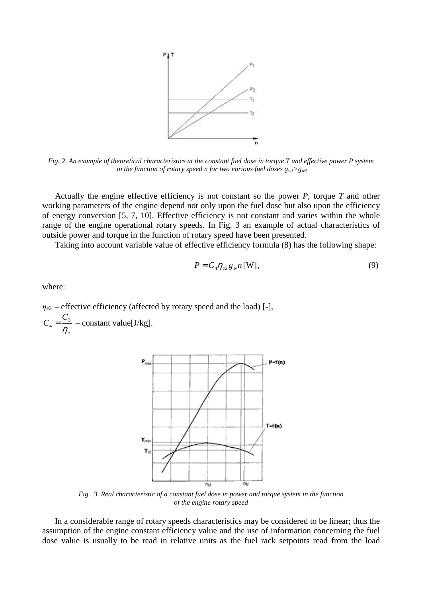

*Fig. 2. An example of theoretical characteristics at the constant fuel dose in torque T and effective power P system in the function of rotary speed n for two various fuel doses*  $g_w > g_w$ 

Actually the engine effective efficiency is not constant so the power *P*, torque *T* and other working parameters of the engine depend not only upon the fuel dose but also upon the efficiency of energy conversion [5, 7, 10]. Effective efficiency is not constant and varies within the whole range of the engine operational rotary speeds. In Fig. 3 an example of actual characteristics of outside power and torque in the function of rotary speed have been presented.

Taking into account variable value of effective efficiency formula (8) has the following shape:

$$
P = C_4 \eta_{e2} g_w n \text{ [W]},\tag{9}
$$

where:

 $\eta_{e2}$  – effective efficiency (affected by rotary speed and the load) [-], 3 4 *e C C* η  $=\frac{36}{10}$  – constant value[J/kg].



*Fig . 3. Real characteristic of a constant fuel dose in power and torque system in the function of the engine rotary speed* 

In a considerable range of rotary speeds characteristics may be considered to be linear; thus the assumption of the engine constant efficiency value and the use of information concerning the fuel dose value is usually to be read in relative units as the fuel rack setpoints read from the load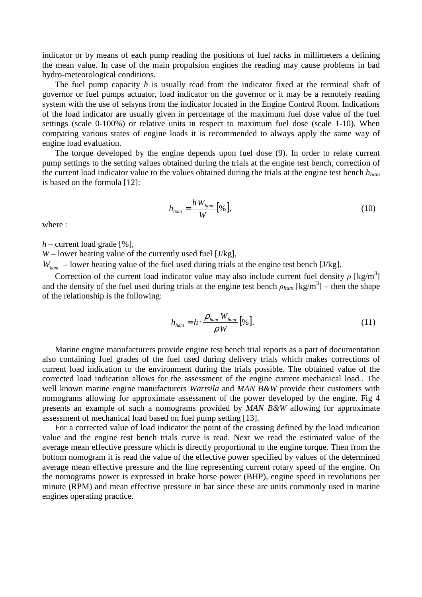indicator or by means of each pump reading the positions of fuel racks in millimeters a defining the mean value. In case of the main propulsion engines the reading may cause problems in bad hydro-meteorological conditions.

The fuel pump capacity *h* is usually read from the indicator fixed at the terminal shaft of governor or fuel pumps actuator, load indicator on the governor or it may be a remotely reading system with the use of selsyns from the indicator located in the Engine Control Room. Indications of the load indicator are usually given in percentage of the maximum fuel dose value of the fuel settings (scale 0-100%) or relative units in respect to maximum fuel dose (scale 1-10). When comparing various states of engine loads it is recommended to always apply the same way of engine load evaluation.

The torque developed by the engine depends upon fuel dose (9). In order to relate current pump settings to the setting values obtained during the trials at the engine test bench, correction of the current load indicator value to the values obtained during the trials at the engine test bench *hham* is based on the formula [12]:

$$
h_{ham} = \frac{h W_{ham}}{W} \left[ \% \right],\tag{10}
$$

where :

 $h$  – current load grade [%],

 $W$  – lower heating value of the currently used fuel [J/kg],

*W<sub>ham</sub>* – lower heating value of the fuel used during trials at the engine test bench [J/kg].

Correction of the current load indicator value may also include current fuel density  $\rho$  [kg/m<sup>3</sup>] and the density of the fuel used during trials at the engine test bench  $\rho_{ham}$  [kg/m<sup>3</sup>] – then the shape of the relationship is the following:

$$
h_{ham} = h \cdot \frac{\rho_{ham} W_{ham}}{\rho W} \left[ \% \right]. \tag{11}
$$

Marine engine manufacturers provide engine test bench trial reports as a part of documentation also containing fuel grades of the fuel used during delivery trials which makes corrections of current load indication to the environment during the trials possible. The obtained value of the corrected load indication allows for the assessment of the engine current mechanical load*.*. The well known marine engine manufacturers *Wartsila* and *MAN B&W* provide their customers with nomograms allowing for approximate assessment of the power developed by the engine. Fig 4 presents an example of such a nomograms provided by *MAN B&W* allowing for approximate assessment of mechanical load based on fuel pump setting [13].

For a corrected value of load indicator the point of the crossing defined by the load indication value and the engine test bench trials curve is read. Next we read the estimated value of the average mean effective pressure which is directly proportional to the engine torque. Then from the bottom nomogram it is read the value of the effective power specified by values of the determined average mean effective pressure and the line representing current rotary speed of the engine. On the nomograms power is expressed in brake horse power (BHP), engine speed in revolutions per minute (RPM) and mean effective pressure in bar since these are units commonly used in marine engines operating practice.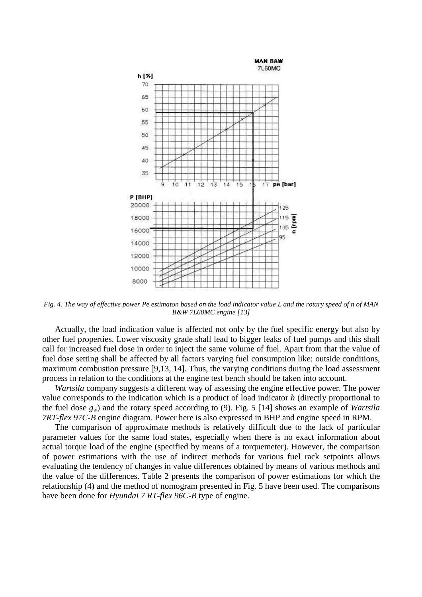

*Fig. 4. The way of effective power Pe estimaton based on the load indicator value L and the rotary speed of n of MAN B&W 7L60MC engine [13]* 

Actually, the load indication value is affected not only by the fuel specific energy but also by other fuel properties. Lower viscosity grade shall lead to bigger leaks of fuel pumps and this shall call for increased fuel dose in order to inject the same volume of fuel. Apart from that the value of fuel dose setting shall be affected by all factors varying fuel consumption like: outside conditions, maximum combustion pressure [9,13, 14]. Thus, the varying conditions during the load assessment process in relation to the conditions at the engine test bench should be taken into account.

*Wartsila* company suggests a different way of assessing the engine effective power. The power value corresponds to the indication which is a product of load indicator *h* (directly proportional to the fuel dose *gw*) and the rotary speed according to (9). Fig. 5 [14] shows an example of *Wartsila 7RT-flex 97C-B* engine diagram. Power here is also expressed in BHP and engine speed in RPM.

The comparison of approximate methods is relatively difficult due to the lack of particular parameter values for the same load states, especially when there is no exact information about actual torque load of the engine (specified by means of a torquemeter). However, the comparison of power estimations with the use of indirect methods for various fuel rack setpoints allows evaluating the tendency of changes in value differences obtained by means of various methods and the value of the differences. Table 2 presents the comparison of power estimations for which the relationship (4) and the method of nomogram presented in Fig. 5 have been used. The comparisons have been done for *Hyundai 7 RT-flex 96C-B* type of engine.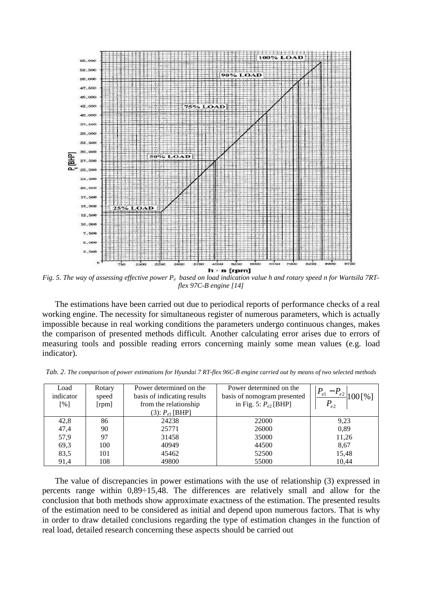

Fig. 5. The way of assessing effective power  $P_e$  based on load indication value h and rotary speed n for Wartsila 7RT*flex 97C-B engine [14]* 

The estimations have been carried out due to periodical reports of performance checks of a real working engine. The necessity for simultaneous register of numerous parameters, which is actually impossible because in real working conditions the parameters undergo continuous changes, makes the comparison of presented methods difficult. Another calculating error arises due to errors of measuring tools and possible reading errors concerning mainly some mean values (e.g. load indicator).

| Load<br>indicator<br>[%] | Rotary<br>speed<br>[rpm] | Power determined on the<br>basis of indicating results<br>from the relationship | Power determined on the<br>basis of nomogram presented<br>in Fig. 5: $P_{e2}$ [BHP] | $P_{e1}$<br>$-P_{e_{2}}$<br>$\lceil \% \rceil$<br>$P_{e2}$ |
|--------------------------|--------------------------|---------------------------------------------------------------------------------|-------------------------------------------------------------------------------------|------------------------------------------------------------|
|                          |                          | $(3)$ : $P_{e1}$ [BHP]                                                          |                                                                                     |                                                            |
| 42,8                     | 86                       | 24238                                                                           | 22000                                                                               | 9,23                                                       |
| 47,4                     | 90                       | 25771                                                                           | 26000                                                                               | 0,89                                                       |
| 57,9                     | 97                       | 31458                                                                           | 35000                                                                               | 11,26                                                      |
| 69,3                     | 100                      | 40949                                                                           | 44500                                                                               | 8,67                                                       |
| 83,5                     | 101                      | 45462                                                                           | 52500                                                                               | 15,48                                                      |
| 91,4                     | 108                      | 49800                                                                           | 55000                                                                               | 10,44                                                      |

*Tab. 2. The comparison of power estimations for Hyundai 7 RT-flex 96C-B engine carried out by means of two selected methods* 

The value of discrepancies in power estimations with the use of relationship (3) expressed in percents range within 0,89÷15,48. The differences are relatively small and allow for the conclusion that both methods show approximate exactness of the estimation. The presented results of the estimation need to be considered as initial and depend upon numerous factors. That is why in order to draw detailed conclusions regarding the type of estimation changes in the function of real load, detailed research concerning these aspects should be carried out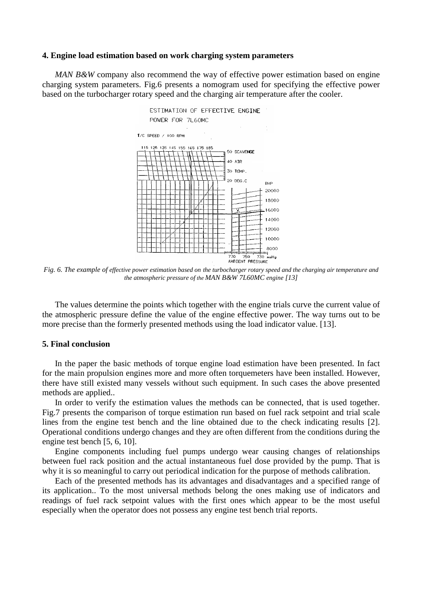#### **4. Engine load estimation based on work charging system parameters**

*MAN B&W* company also recommend the way of effective power estimation based on engine charging system parameters. Fig.6 presents a nomogram used for specifying the effective power based on the turbocharger rotary speed and the charging air temperature after the cooler.



*Fig. 6. The example of effective power estimation based on the turbocharger rotary speed and the charging air temperature and the atmospheric pressure of the MAN B&W 7L60MC engine [13]* 

The values determine the points which together with the engine trials curve the current value of the atmospheric pressure define the value of the engine effective power. The way turns out to be more precise than the formerly presented methods using the load indicator value. [13].

### **5. Final conclusion**

In the paper the basic methods of torque engine load estimation have been presented. In fact for the main propulsion engines more and more often torquemeters have been installed. However, there have still existed many vessels without such equipment. In such cases the above presented methods are applied..

In order to verify the estimation values the methods can be connected, that is used together. Fig.7 presents the comparison of torque estimation run based on fuel rack setpoint and trial scale lines from the engine test bench and the line obtained due to the check indicating results [2]. Operational conditions undergo changes and they are often different from the conditions during the engine test bench [5, 6, 10].

Engine components including fuel pumps undergo wear causing changes of relationships between fuel rack position and the actual instantaneous fuel dose provided by the pump. That is why it is so meaningful to carry out periodical indication for the purpose of methods calibration.

Each of the presented methods has its advantages and disadvantages and a specified range of its application.. To the most universal methods belong the ones making use of indicators and readings of fuel rack setpoint values with the first ones which appear to be the most useful especially when the operator does not possess any engine test bench trial reports.